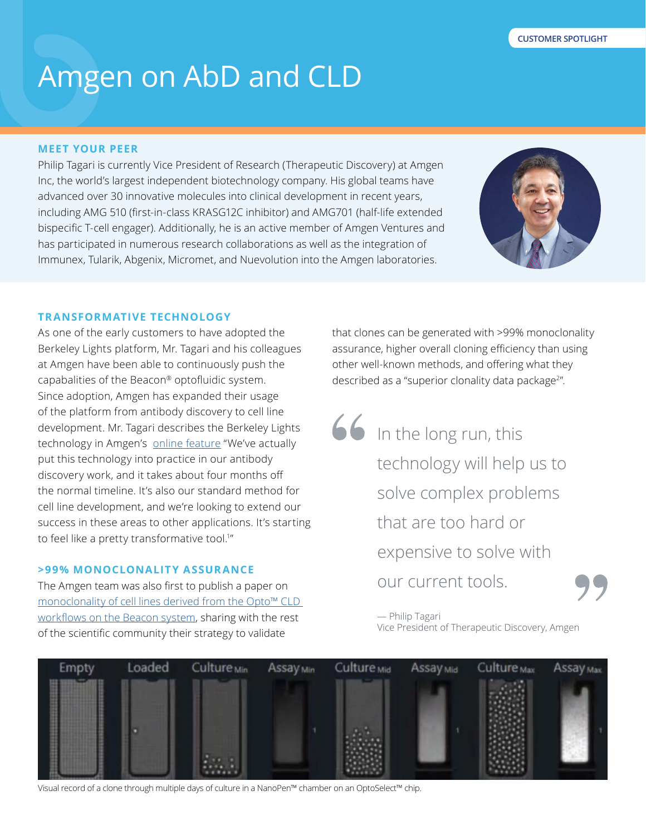# Amgen on AbD and CLD

## **MEET YOUR PEER**

Philip Tagari is currently Vice President of Research (Therapeutic Discovery) at Amgen Inc, the world's largest independent biotechnology company. His global teams have advanced over 30 innovative molecules into clinical development in recent years, including AMG 510 (first-in-class KRASG12C inhibitor) and AMG701 (half-life extended bispecific T-cell engager). Additionally, he is an active member of Amgen Ventures and has participated in numerous research collaborations as well as the integration of Immunex, Tularik, Abgenix, Micromet, and Nuevolution into the Amgen laboratories.



#### **TRANSFORMATIVE TECHNOLOGY**

As one of the early customers to have adopted the Berkeley Lights platform, Mr. Tagari and his colleagues at Amgen have been able to continuously push the capabalities of the Beacon® optofluidic system. Since adoption, Amgen has expanded their usage of the platform from antibody discovery to cell line development. Mr. Tagari describes the Berkeley Lights technology in Amgen's [online feature](https://www.amgenscience.com/features/the-digital-cell-biology-revolution/) "We've actually put this technology into practice in our antibody discovery work, and it takes about four months off the normal timeline. It's also our standard method for cell line development, and we're looking to extend our success in these areas to other applications. It's starting to feel like a pretty transformative tool.<sup>1"</sup>

#### **>99% MONOCLONALITY ASSURANCE**

The Amgen team was also first to publish a paper on [monoclonality of cell lines derived from the Opto™ CLD](https://pubmed.ncbi.nlm.nih.gov/31743597/)  [workflows on the Beacon system](https://pubmed.ncbi.nlm.nih.gov/31743597/), sharing with the rest of the scientific community their strategy to validate

that clones can be generated with >99% monoclonality assurance, higher overall cloning efficiency than using other well-known methods, and offering what they described as a "superior clonality data package<sup>2</sup>".

66 In the long run, this technology will help us to solve complex problems that are too hard or expensive to solve with our current tools.

> — Philip Tagari Vice President of Therapeutic Discovery, Amgen



Visual record of a clone through multiple days of culture in a NanoPen™ chamber on an OptoSelect™ chip.